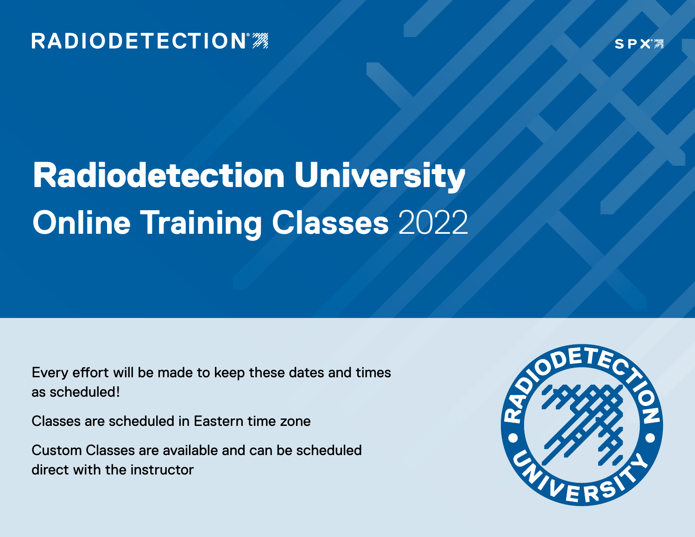### **RADIODETECTION®**

**SPX** 

### Radiodetection University **Online Training Classes** 2022

Every effort will be made to keep these dates and times as scheduled!

Classes are scheduled in Eastern time zone

Custom Classes are available and can be scheduled direct with the instructor

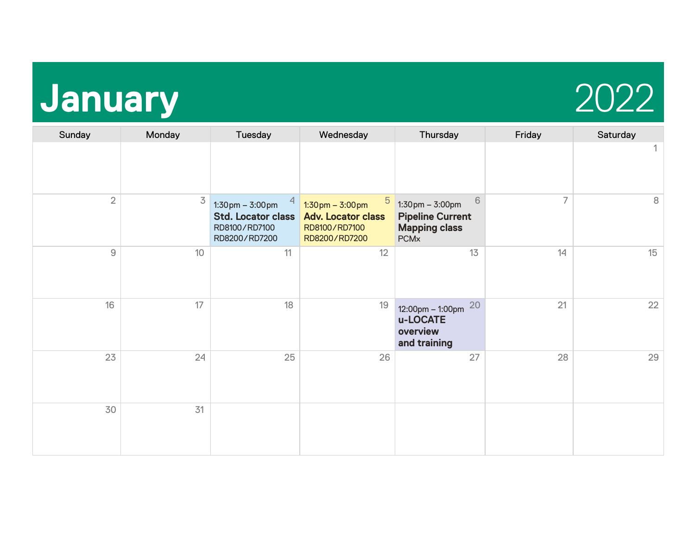## **January** 2022



| Sunday         | Monday         | Tuesday                                                                                            | Wednesday                                                                                             | Thursday                                                                                                 | Friday | Saturday |
|----------------|----------------|----------------------------------------------------------------------------------------------------|-------------------------------------------------------------------------------------------------------|----------------------------------------------------------------------------------------------------------|--------|----------|
|                |                |                                                                                                    |                                                                                                       |                                                                                                          |        |          |
| $\overline{2}$ | $\overline{3}$ | $1:30 \text{ pm} - 3:00 \text{ pm}$<br><b>Std. Locator class</b><br>RD8100/RD7100<br>RD8200/RD7200 | 5<br>$1:30 \text{pm} - 3:00 \text{pm}$<br><b>Adv. Locator class</b><br>RD8100/RD7100<br>RD8200/RD7200 | 6<br>$1:30 \text{pm} - 3:00 \text{pm}$<br><b>Pipeline Current</b><br><b>Mapping class</b><br><b>PCMx</b> | 7      | 8        |
| $\hbox{9}$     | 10             | 11                                                                                                 | 12                                                                                                    | 13                                                                                                       | 14     | 15       |
| 16             | 17             | 18                                                                                                 | 19                                                                                                    | 20<br>$12:00 \text{pm} - 1:00 \text{pm}$<br>u-LOCATE<br>overview<br>and training                         | 21     | 22       |
| 23             | 24             | 25                                                                                                 | 26                                                                                                    | 27                                                                                                       | 28     | 29       |
| 30             | 31             |                                                                                                    |                                                                                                       |                                                                                                          |        |          |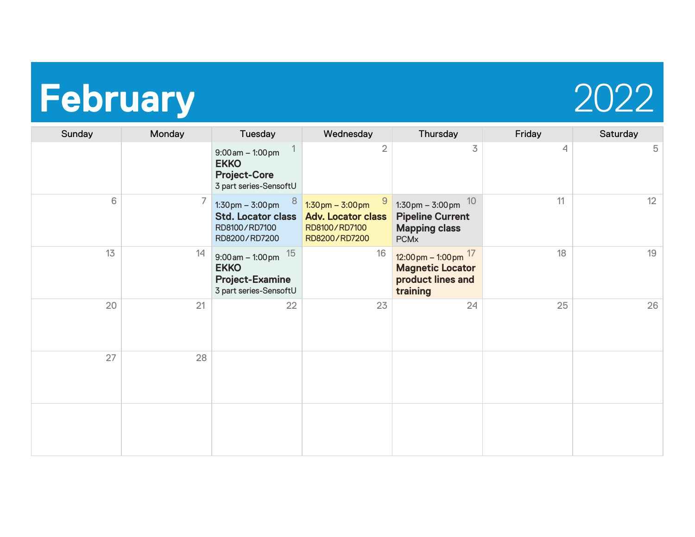### **February** 2022



| Sunday | Monday | Tuesday                                                                                                 | Wednesday                                                                                               | Thursday                                                                                                       | Friday | Saturday |
|--------|--------|---------------------------------------------------------------------------------------------------------|---------------------------------------------------------------------------------------------------------|----------------------------------------------------------------------------------------------------------------|--------|----------|
|        |        | $9:00$ am $-1:00$ pm<br><b>EKKO</b><br><b>Project-Core</b><br>3 part series-SensoftU                    | $\overline{2}$                                                                                          | 3                                                                                                              | 4      | 5        |
| 6      | 7      | 8<br>$1:30 \text{ pm} - 3:00 \text{ pm}$<br><b>Std. Locator class</b><br>RD8100/RD7100<br>RD8200/RD7200 | 9<br>$1:30 \text{ pm} - 3:00 \text{ pm}$<br><b>Adv. Locator class</b><br>RD8100/RD7100<br>RD8200/RD7200 | 10<br>$1:30 \text{ pm} - 3:00 \text{ pm}$<br><b>Pipeline Current</b><br><b>Mapping class</b><br><b>PCMx</b>    | 11     | 12       |
| 13     | 14     | $9:00$ am $-1:00$ pm $15$<br><b>EKKO</b><br><b>Project-Examine</b><br>3 part series-SensoftU            | 16                                                                                                      | $12:00 \text{ pm} - 1:00 \text{ pm}$ <sup>17</sup><br><b>Magnetic Locator</b><br>product lines and<br>training | 18     | 19       |
| 20     | 21     | 22                                                                                                      | 23                                                                                                      | 24                                                                                                             | 25     | 26       |
| 27     | 28     |                                                                                                         |                                                                                                         |                                                                                                                |        |          |
|        |        |                                                                                                         |                                                                                                         |                                                                                                                |        |          |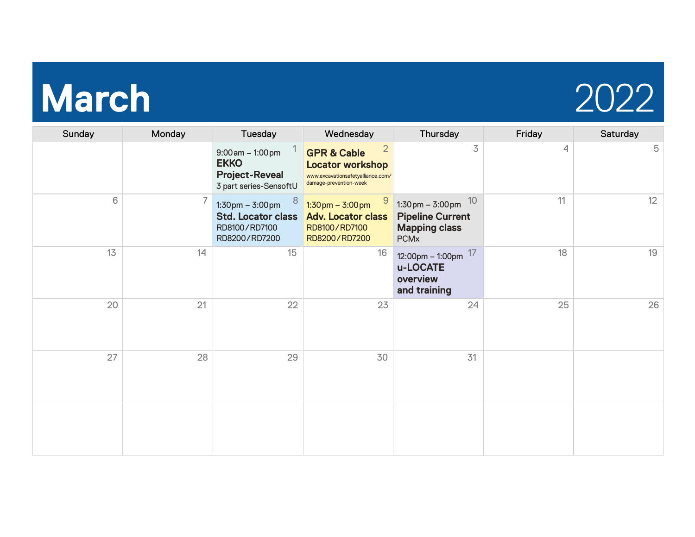# **March** 2022



| Sunday | Monday | Tuesday                                                                                                 | Wednesday                                                                                                             | Thursday                                                                                                  | Friday | Saturday |
|--------|--------|---------------------------------------------------------------------------------------------------------|-----------------------------------------------------------------------------------------------------------------------|-----------------------------------------------------------------------------------------------------------|--------|----------|
|        |        | $9:00$ am $-1:00$ pm<br><b>EKKO</b><br><b>Project-Reveal</b><br>3 part series-SensoftU                  | 2<br><b>GPR &amp; Cable</b><br><b>Locator workshop</b><br>www.excavationsafetyalliance.com/<br>damage-prevention-week | 3                                                                                                         | 4      | 5        |
| 6      | 7      | 8<br>$1:30 \text{ pm} - 3:00 \text{ pm}$<br><b>Std. Locator class</b><br>RD8100/RD7100<br>RD8200/RD7200 | $1:30 \text{pm} - 3:00 \text{pm}$<br><b>Adv. Locator class</b><br>RD8100/RD7100<br>RD8200/RD7200                      | 10<br>$1:30 \text{pm} - 3:00 \text{pm}$<br><b>Pipeline Current</b><br><b>Mapping class</b><br><b>PCMx</b> | 11     | 12       |
| 13     | 14     | 15                                                                                                      | 16                                                                                                                    | 12:00pm - 1:00pm $17$<br>u-LOCATE<br>overview<br>and training                                             | 18     | 19       |
| 20     | 21     | 22                                                                                                      | 23                                                                                                                    | 24                                                                                                        | 25     | 26       |
| 27     | 28     | 29                                                                                                      | 30                                                                                                                    | 31                                                                                                        |        |          |
|        |        |                                                                                                         |                                                                                                                       |                                                                                                           |        |          |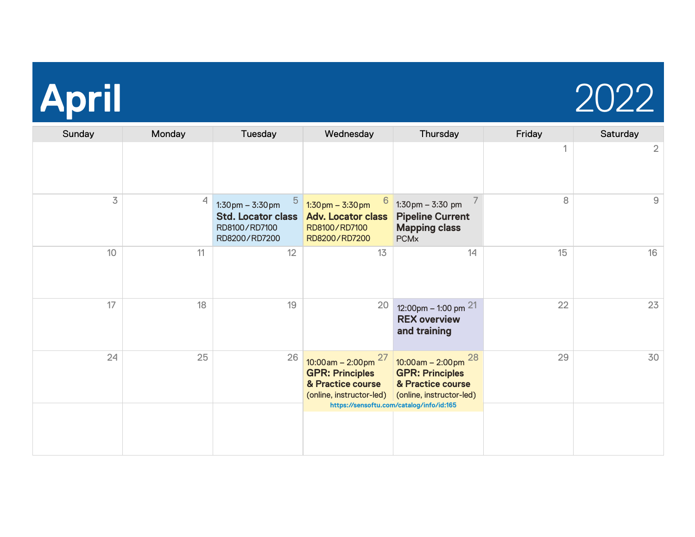

| Sunday         | Monday         | Tuesday                                                                                                              | Wednesday                                                                                               | Thursday                                                                                               | Friday | Saturday |
|----------------|----------------|----------------------------------------------------------------------------------------------------------------------|---------------------------------------------------------------------------------------------------------|--------------------------------------------------------------------------------------------------------|--------|----------|
|                |                |                                                                                                                      |                                                                                                         |                                                                                                        |        | 2        |
| $\overline{3}$ | $\overline{4}$ | $\overline{5}$<br>$1:30 \text{ pm} - 3:30 \text{ pm}$<br><b>Std. Locator class</b><br>RD8100/RD7100<br>RD8200/RD7200 | 6<br>$1:30 \text{ pm} - 3:30 \text{ pm}$<br><b>Adv. Locator class</b><br>RD8100/RD7100<br>RD8200/RD7200 | $1:30 \text{ pm} - 3:30 \text{ pm}$<br><b>Pipeline Current</b><br><b>Mapping class</b><br><b>PCMx</b>  | 8      | 9        |
| 10             | 11             | 12                                                                                                                   | 13                                                                                                      | 14                                                                                                     | 15     | 16       |
| 17             | 18             | 19                                                                                                                   | $20\,$                                                                                                  | 12:00pm - 1:00 pm $21$<br><b>REX overview</b><br>and training                                          | 22     | 23       |
| 24             | 25             | 26                                                                                                                   | $10:00$ am – 2:00pm $^{27}$<br><b>GPR: Principles</b><br>& Practice course<br>(online, instructor-led)  | $10:00$ am – 2:00pm $^{28}$<br><b>GPR: Principles</b><br>& Practice course<br>(online, instructor-led) | 29     | 30       |
|                |                |                                                                                                                      |                                                                                                         | https://sensoftu.com/catalog/info/id:165                                                               |        |          |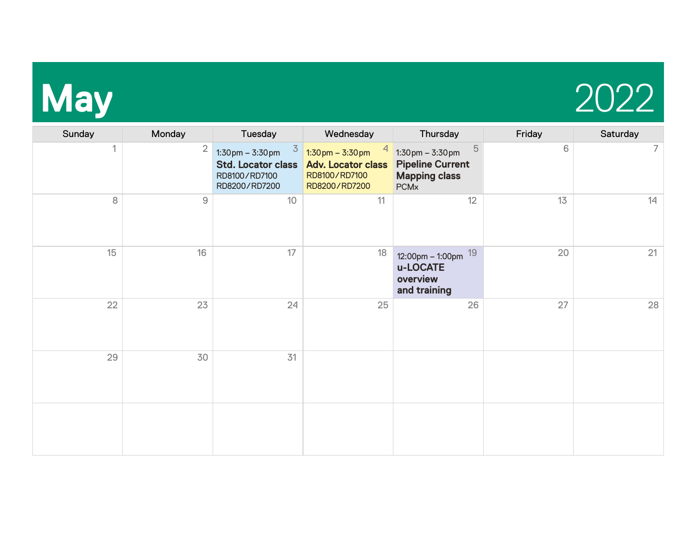

| Sunday | Monday         | Tuesday                                                                                                            | Wednesday                                                                                          | Thursday                                                                                                                | Friday | Saturday |
|--------|----------------|--------------------------------------------------------------------------------------------------------------------|----------------------------------------------------------------------------------------------------|-------------------------------------------------------------------------------------------------------------------------|--------|----------|
|        | $\overline{2}$ | $\overline{3}$<br>$1:30 \text{pm} - 3:30 \text{pm}$<br><b>Std. Locator class</b><br>RD8100/RD7100<br>RD8200/RD7200 | $1:30 \text{ pm} - 3:30 \text{ pm}$<br><b>Adv. Locator class</b><br>RD8100/RD7100<br>RD8200/RD7200 | $\overline{5}$<br>$1:30 \text{ pm} - 3:30 \text{ pm}$<br><b>Pipeline Current</b><br><b>Mapping class</b><br><b>PCMx</b> | 6      | 7        |
| 8      | $\mathsf{9}$   | 10                                                                                                                 | 11                                                                                                 | 12                                                                                                                      | 13     | 14       |
| 15     | 16             | 17                                                                                                                 | 18                                                                                                 | 19<br>12:00pm - 1:00pm<br>u-LOCATE<br>overview<br>and training                                                          | 20     | 21       |
| 22     | 23             | 24                                                                                                                 | 25                                                                                                 | 26                                                                                                                      | 27     | 28       |
| 29     | 30             | 31                                                                                                                 |                                                                                                    |                                                                                                                         |        |          |
|        |                |                                                                                                                    |                                                                                                    |                                                                                                                         |        |          |